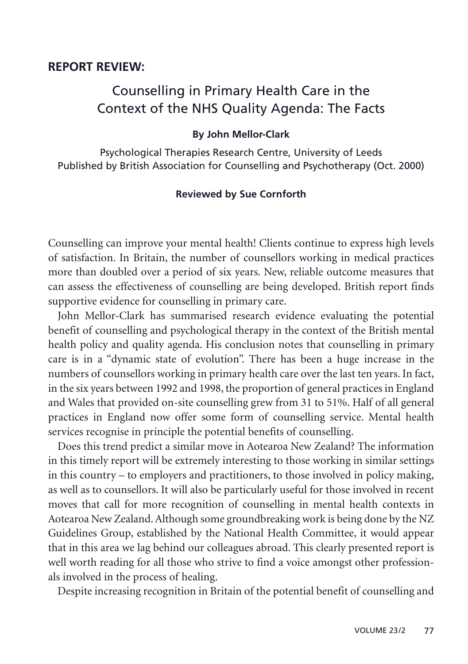## **REPORT REVIEW:**

## Counselling in Primary Health Care in the Context of the NHS Quality Agenda: The Facts

## **By John Mellor-Clark**

Psychological Therapies Research Centre, University of Leeds Published by British Association for Counselling and Psychotherapy (Oct. 2000)

## **Reviewed by Sue Cornforth**

Counselling can improve your mental health! Clients continue to express high levels of satisfaction. In Britain, the number of counsellors working in medical practices more than doubled over a period of six years. New, reliable outcome measures that can assess the effectiveness of counselling are being developed. British report finds supportive evidence for counselling in primary care.

John Mellor-Clark has summarised research evidence evaluating the potential benefit of counselling and psychological therapy in the context of the British mental health policy and quality agenda. His conclusion notes that counselling in primary care is in a "dynamic state of evolution". There has been a huge increase in the numbers of counsellors working in primary health care over the last ten years. In fact, in the six years between 1992 and 1998, the proportion of general practices in England and Wales that provided on-site counselling grew from 31 to 51%. Half of all general practices in England now offer some form of counselling service. Mental health services recognise in principle the potential benefits of counselling.

Does this trend predict a similar move in Aotearoa New Zealand? The information in this timely report will be extremely interesting to those working in similar settings in this country – to employers and practitioners, to those involved in policy making, as well as to counsellors. It will also be particularly useful for those involved in recent moves that call for more recognition of counselling in mental health contexts in Aotearoa New Zealand. Although some groundbreaking work is being done by the NZ Guidelines Group, established by the National Health Committee, it would appear that in this area we lag behind our colleagues abroad. This clearly presented report is well worth reading for all those who strive to find a voice amongst other professionals involved in the process of healing.

Despite increasing recognition in Britain of the potential benefit of counselling and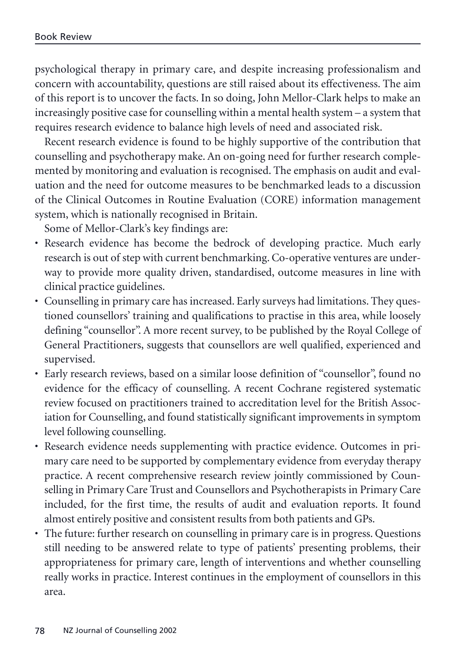psychological therapy in primary care, and despite increasing professionalism and concern with accountability, questions are still raised about its effectiveness. The aim of this report is to uncover the facts. In so doing, John Mellor-Clark helps to make an increasingly positive case for counselling within a mental health system – a system that requires research evidence to balance high levels of need and associated risk.

Recent research evidence is found to be highly supportive of the contribution that counselling and psychotherapy make. An on-going need for further research complemented by monitoring and evaluation is recognised. The emphasis on audit and evaluation and the need for outcome measures to be benchmarked leads to a discussion of the Clinical Outcomes in Routine Evaluation (CORE) information management system, which is nationally recognised in Britain.

Some of Mellor-Clark's key findings are:

- Research evidence has become the bedrock of developing practice. Much early research is out of step with current benchmarking. Co-operative ventures are underway to provide more quality driven, standardised, outcome measures in line with clinical practice guidelines.
- Counselling in primary care has increased. Early surveys had limitations. They questioned counsellors' training and qualifications to practise in this area, while loosely defining "counsellor". A more recent survey, to be published by the Royal College of General Practitioners, suggests that counsellors are well qualified, experienced and supervised.
- Early research reviews, based on a similar loose definition of "counsellor", found no evidence for the efficacy of counselling. A recent Cochrane registered systematic review focused on practitioners trained to accreditation level for the British Association for Counselling, and found statistically significant improvements in symptom level following counselling.
- Research evidence needs supplementing with practice evidence. Outcomes in primary care need to be supported by complementary evidence from everyday therapy practice. A recent comprehensive research review jointly commissioned by Counselling in Primary Care Trust and Counsellors and Psychotherapists in Primary Care included, for the first time, the results of audit and evaluation reports. It found almost entirely positive and consistent results from both patients and GPs.
- The future: further research on counselling in primary care is in progress. Questions still needing to be answered relate to type of patients' presenting problems, their appropriateness for primary care, length of interventions and whether counselling really works in practice. Interest continues in the employment of counsellors in this area.